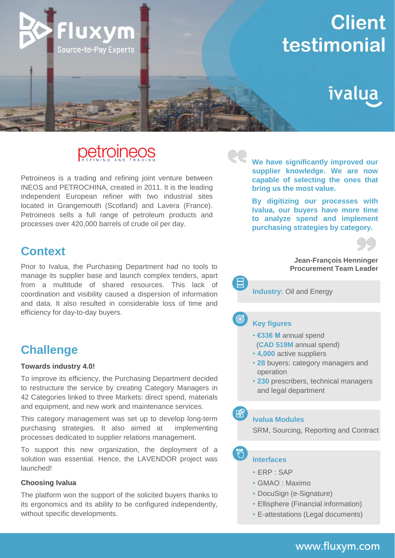

# petroineos

Petroineos is a trading and refining joint venture between INEOS and PETROCHINA, created in 2011. It is the leading independent European refiner with two industrial sites located in Grangemouth (Scotland) and Lavera (France). Petroineos sells a full range of petroleum products and processes over 420,000 barrels of crude oil per day.

## **Context**

Prior to Ivalua, the Purchasing Department had no tools to manage its supplier base and launch complex tenders, apart from a multitude of shared resources. This lack of coordination and visibility caused a dispersion of information and data. It also resulted in considerable loss of time and efficiency for day-to-day buyers.

# **Challenge**

#### **Towards industry 4.0!**

To improve its efficiency, the Purchasing Department decided to restructure the service by creating Category Managers in 42 Categories linked to three Markets: direct spend, materials and equipment, and new work and maintenance services.

This category management was set up to develop long-term purchasing strategies. It also aimed at implementing processes dedicated to supplier relations management.

To support this new organization, the deployment of a solution was essential. Hence, the LAVENDOR project was launched!

#### **Choosing Ivalua**

The platform won the support of the solicited buyers thanks to its ergonomics and its ability to be configured independently, without specific developments.

**We have significantly improved our supplier knowledge. We are now capable of selecting the ones that bring us the most value.**

**By digitizing our processes with Ivalua, our buyers have more time to analyze spend and implement purchasing strategies by category.**



#### **Jean-François Henninger Procurement Team Leader**

**Industry:** Oil and Energy

#### **Key figures**

෯

隦



- **4,000** active suppliers
- **28** buyers: category managers and operation
- **230** prescribers, technical managers and legal department

**Ivalua Modules**

SRM, Sourcing, Reporting and Contract

#### **Interfaces**

- ERP : SAP
- GMAO : Maximo
- DocuSign (e-Signature)
- Ellisphere (Financial information)
- E-attestations (Legal documents)

### [www.fluxym.com](http://www.fluxym.com/)